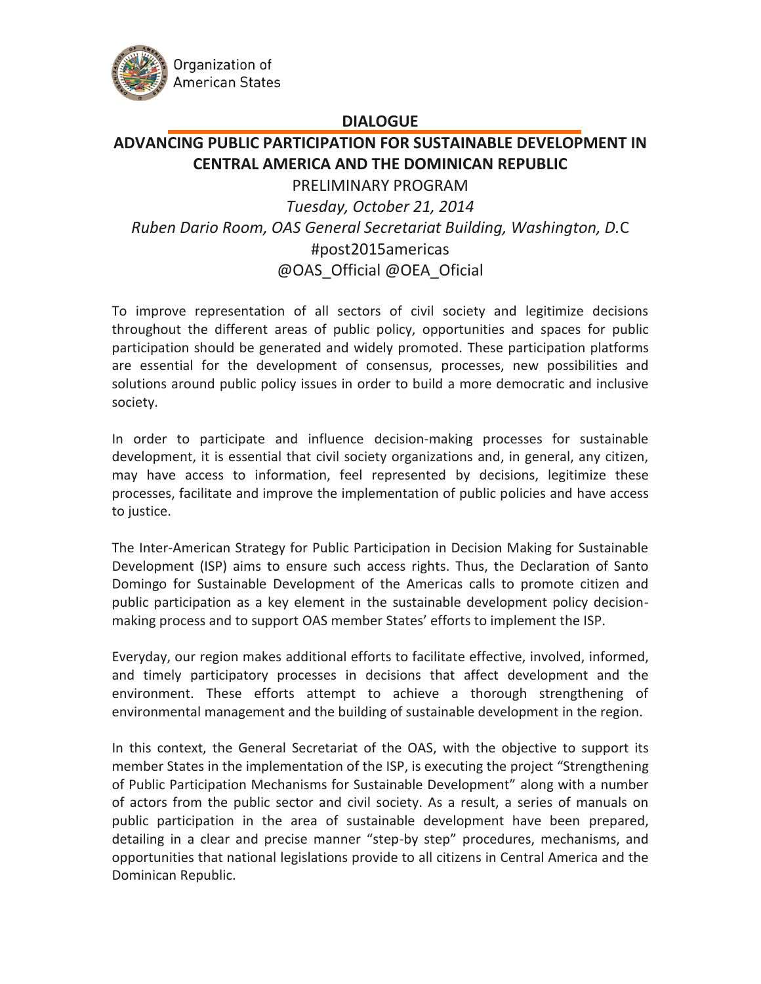

## **DIALOGUE**

## **ADVANCING PUBLIC PARTICIPATION FOR SUSTAINABLE DEVELOPMENT IN CENTRAL AMERICA AND THE DOMINICAN REPUBLIC**

PRELIMINARY PROGRAM *Tuesday, October 21, 2014 Ruben Dario Room, OAS General Secretariat Building, Washington, D.*C #post2015americas @OAS\_Official @OEA\_Oficial

To improve representation of all sectors of civil society and legitimize decisions throughout the different areas of public policy, opportunities and spaces for public participation should be generated and widely promoted. These participation platforms are essential for the development of consensus, processes, new possibilities and solutions around public policy issues in order to build a more democratic and inclusive society.

In order to participate and influence decision-making processes for sustainable development, it is essential that civil society organizations and, in general, any citizen, may have access to information, feel represented by decisions, legitimize these processes, facilitate and improve the implementation of public policies and have access to justice.

The Inter-American Strategy for Public Participation in Decision Making for Sustainable Development (ISP) aims to ensure such access rights. Thus, the Declaration of Santo Domingo for Sustainable Development of the Americas calls to promote citizen and public participation as a key element in the sustainable development policy decisionmaking process and to support OAS member States' efforts to implement the ISP.

Everyday, our region makes additional efforts to facilitate effective, involved, informed, and timely participatory processes in decisions that affect development and the environment. These efforts attempt to achieve a thorough strengthening of environmental management and the building of sustainable development in the region.

In this context, the General Secretariat of the OAS, with the objective to support its member States in the implementation of the ISP, is executing the project "Strengthening of Public Participation Mechanisms for Sustainable Development" along with a number of actors from the public sector and civil society. As a result, a series of manuals on public participation in the area of sustainable development have been prepared, detailing in a clear and precise manner "step-by step" procedures, mechanisms, and opportunities that national legislations provide to all citizens in Central America and the Dominican Republic.